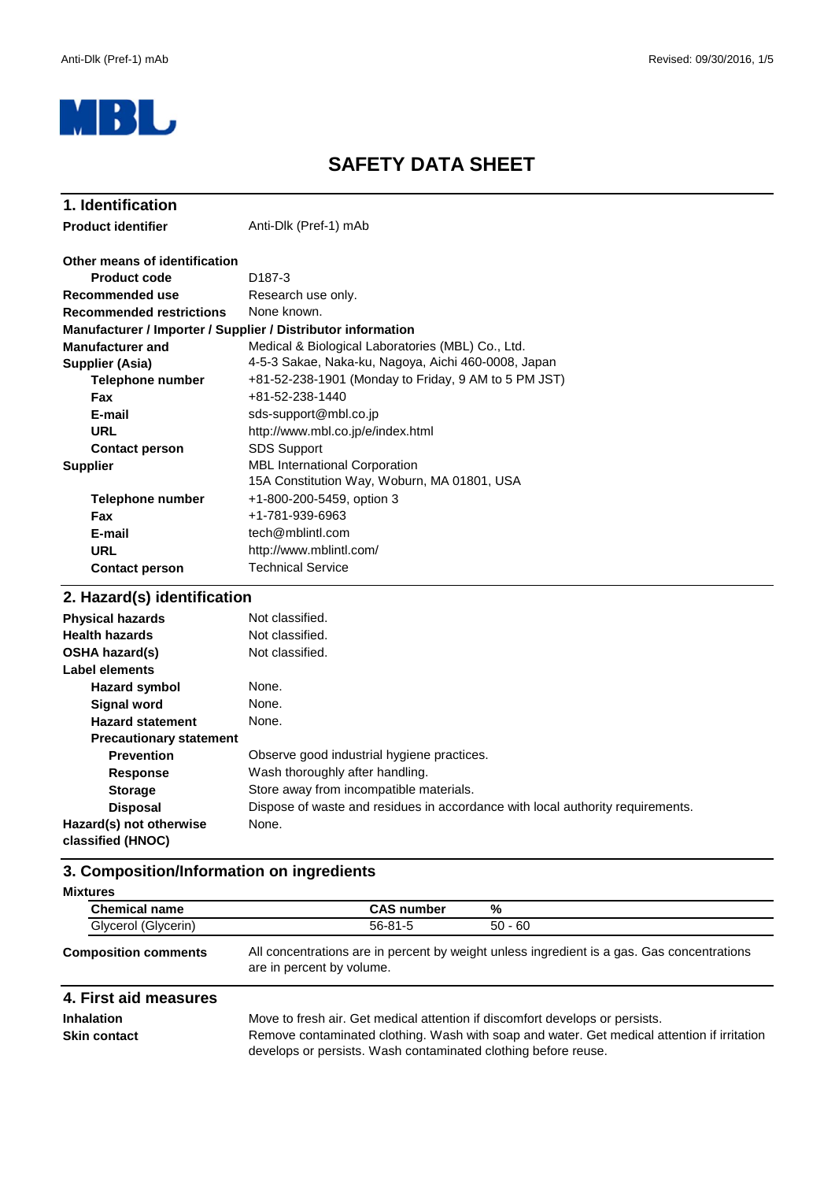

# **SAFETY DATA SHEET**

| 1. Identification                                            |                                                      |
|--------------------------------------------------------------|------------------------------------------------------|
| <b>Product identifier</b>                                    | Anti-Dlk (Pref-1) mAb                                |
| Other means of identification                                |                                                      |
| <b>Product code</b>                                          | D <sub>187</sub> -3                                  |
| Recommended use                                              | Research use only.                                   |
| <b>Recommended restrictions</b>                              | None known.                                          |
| Manufacturer / Importer / Supplier / Distributor information |                                                      |
| <b>Manufacturer and</b>                                      | Medical & Biological Laboratories (MBL) Co., Ltd.    |
| <b>Supplier (Asia)</b>                                       | 4-5-3 Sakae, Naka-ku, Nagoya, Aichi 460-0008, Japan  |
| Telephone number                                             | +81-52-238-1901 (Monday to Friday, 9 AM to 5 PM JST) |
| <b>Fax</b>                                                   | +81-52-238-1440                                      |
| E-mail                                                       | sds-support@mbl.co.jp                                |
| <b>URL</b>                                                   | http://www.mbl.co.jp/e/index.html                    |
| <b>Contact person</b>                                        | <b>SDS Support</b>                                   |
| <b>Supplier</b>                                              | <b>MBL International Corporation</b>                 |
|                                                              | 15A Constitution Way, Woburn, MA 01801, USA          |
| Telephone number                                             | +1-800-200-5459, option 3                            |
| <b>Fax</b>                                                   | +1-781-939-6963                                      |
| E-mail                                                       | tech@mblintl.com                                     |
| <b>URL</b>                                                   | http://www.mblintl.com/                              |
| <b>Contact person</b>                                        | <b>Technical Service</b>                             |
| 2. Hazard(s) identification                                  |                                                      |
|                                                              |                                                      |

#### **Hazard symbol Signal word Hazard statement Precautionary statement Prevention Response Storage Disposal** Wash thoroughly after handling. Store away from incompatible materials. **Label elements Physical hazards** Not classified. None. Observe good industrial hygiene practices. Dispose of waste and residues in accordance with local authority requirements. None. None. Not classified. None. **Health hazards** Not classified. **OSHA hazard(s) Hazard(s) not otherwise classified (HNOC)**

### **3. Composition/Information on ingredients**

| <b>Mixtures</b> |                             |                   |                                                                                            |
|-----------------|-----------------------------|-------------------|--------------------------------------------------------------------------------------------|
|                 | <b>Chemical name</b>        | <b>CAS number</b> | %                                                                                          |
|                 | Glycerol (Glycerin)         | $56 - 81 - 5$     | $50 - 60$                                                                                  |
|                 | <b>Composition comments</b> |                   | All concentrations are in percent by weight unless ingredient is a gas. Gas concentrations |

# are in percent by volume.

### **4. First aid measures**

**Inhalation** Move to fresh air. Get medical attention if discomfort develops or persists. **Skin contact** Remove contaminated clothing. Wash with soap and water. Get medical attention if irritation develops or persists. Wash contaminated clothing before reuse.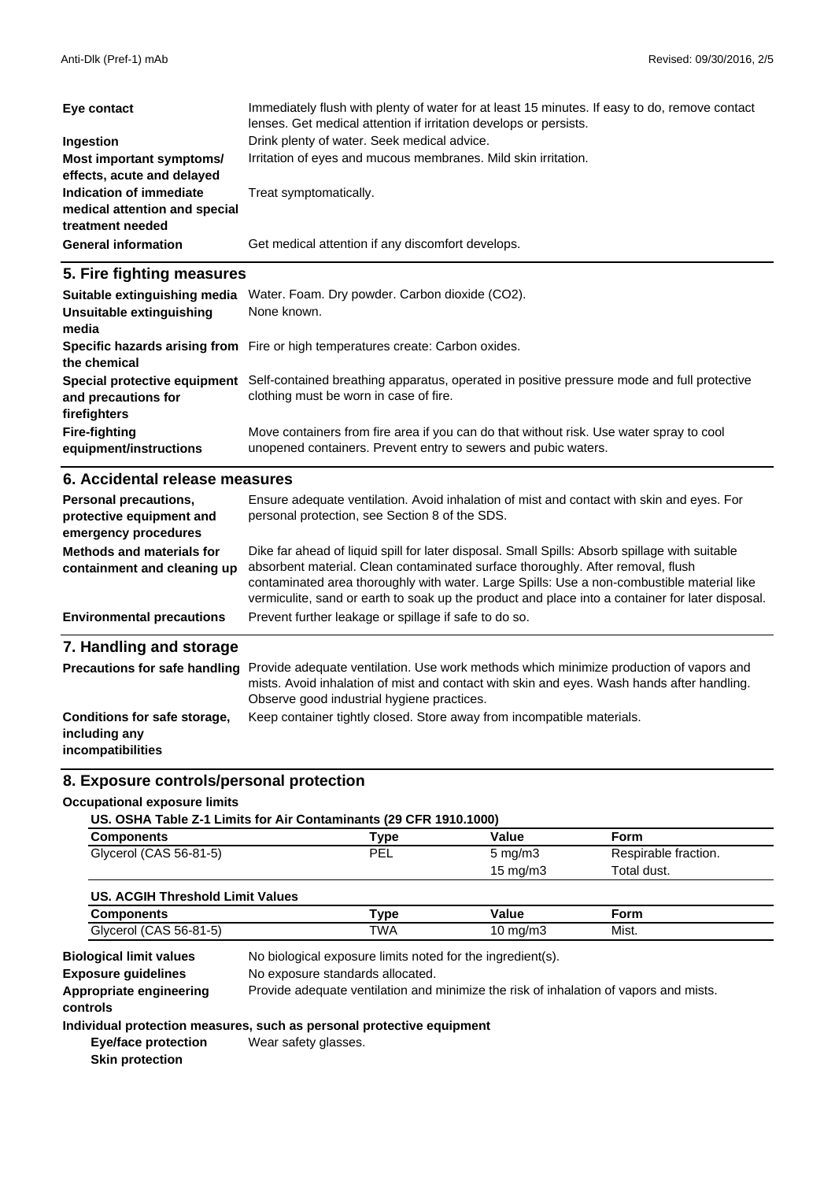| Eye contact                                                                  | Immediately flush with plenty of water for at least 15 minutes. If easy to do, remove contact<br>lenses. Get medical attention if irritation develops or persists. |
|------------------------------------------------------------------------------|--------------------------------------------------------------------------------------------------------------------------------------------------------------------|
| Ingestion                                                                    | Drink plenty of water. Seek medical advice.                                                                                                                        |
| Most important symptoms/<br>effects, acute and delayed                       | Irritation of eyes and mucous membranes. Mild skin irritation.                                                                                                     |
| Indication of immediate<br>medical attention and special<br>treatment needed | Treat symptomatically.                                                                                                                                             |
| <b>General information</b>                                                   | Get medical attention if any discomfort develops.                                                                                                                  |

#### **5. Fire fighting measures**

| Suitable extinguishing media<br>Unsuitable extinguishing<br>media | Water. Foam. Dry powder. Carbon dioxide (CO2).<br>None known.                                                                                             |
|-------------------------------------------------------------------|-----------------------------------------------------------------------------------------------------------------------------------------------------------|
| the chemical                                                      | Specific hazards arising from Fire or high temperatures create: Carbon oxides.                                                                            |
| Special protective equipment<br>and precautions for               | Self-contained breathing apparatus, operated in positive pressure mode and full protective<br>clothing must be worn in case of fire.                      |
| firefighters                                                      |                                                                                                                                                           |
| <b>Fire-fighting</b><br>equipment/instructions                    | Move containers from fire area if you can do that without risk. Use water spray to cool<br>unopened containers. Prevent entry to sewers and pubic waters. |

#### **6. Accidental release measures**

| Personal precautions,<br>protective equipment and<br>emergency procedures | Ensure adequate ventilation. Avoid inhalation of mist and contact with skin and eyes. For<br>personal protection, see Section 8 of the SDS.                                                                                                                                                                                                                                         |
|---------------------------------------------------------------------------|-------------------------------------------------------------------------------------------------------------------------------------------------------------------------------------------------------------------------------------------------------------------------------------------------------------------------------------------------------------------------------------|
| Methods and materials for<br>containment and cleaning up                  | Dike far ahead of liquid spill for later disposal. Small Spills: Absorb spillage with suitable<br>absorbent material. Clean contaminated surface thoroughly. After removal, flush<br>contaminated area thoroughly with water. Large Spills: Use a non-combustible material like<br>vermiculite, sand or earth to soak up the product and place into a container for later disposal. |
| <b>Environmental precautions</b>                                          | Prevent further leakage or spillage if safe to do so.                                                                                                                                                                                                                                                                                                                               |
| 7. Handling and storage                                                   |                                                                                                                                                                                                                                                                                                                                                                                     |
| <b>Precautions for safe handling</b>                                      | Provide adequate ventilation. Use work methods which minimize production of vapors and<br>mists. Avoid inhalation of mist and contact with skin and eyes. Wash hands after handling.<br>Observe good industrial hygiene practices.                                                                                                                                                  |

#### Keep container tightly closed. Store away from incompatible materials. **Conditions for safe storage, including any**

**incompatibilities**

### **8. Exposure controls/personal protection**

#### **Occupational exposure limits**

| US. OSHA Table Z-1 Limits for Air Contaminants (29 CFR 1910.1000) |                    |                           |  |
|-------------------------------------------------------------------|--------------------|---------------------------|--|
| $\mathbf{A}$ - and a state of $\mathbf{A}$                        | <b>The company</b> | $\mathbf{V}$ $\mathbf{L}$ |  |

| Components             | $^{\mathsf{T}}$ vpe | Value              | Form                 |  |
|------------------------|---------------------|--------------------|----------------------|--|
| Glycerol (CAS 56-81-5) | PEL                 | $5 \text{ ma/m}$ 3 | Respirable fraction. |  |
|                        |                     | 15 mg/m $3$        | Total dust.          |  |

| US. ACGIH Threshold Limit Values |            |          |       |  |
|----------------------------------|------------|----------|-------|--|
| Components                       | ™vpe       | Value    | -orm  |  |
| Glycerol (CAS 56-81-5)           | <b>TWA</b> | 10 ma/m3 | Mist. |  |

**Exposure guidelines** No biological exposure limits noted for the ingredient(s). **Biological limit values** No exposure standards allocated. **Appropriate engineering** Provide adequate ventilation and minimize the risk of inhalation of vapors and mists. **controls**

#### **Individual protection measures, such as personal protective equipment**

**Eye/face protection Skin protection**

Wear safety glasses.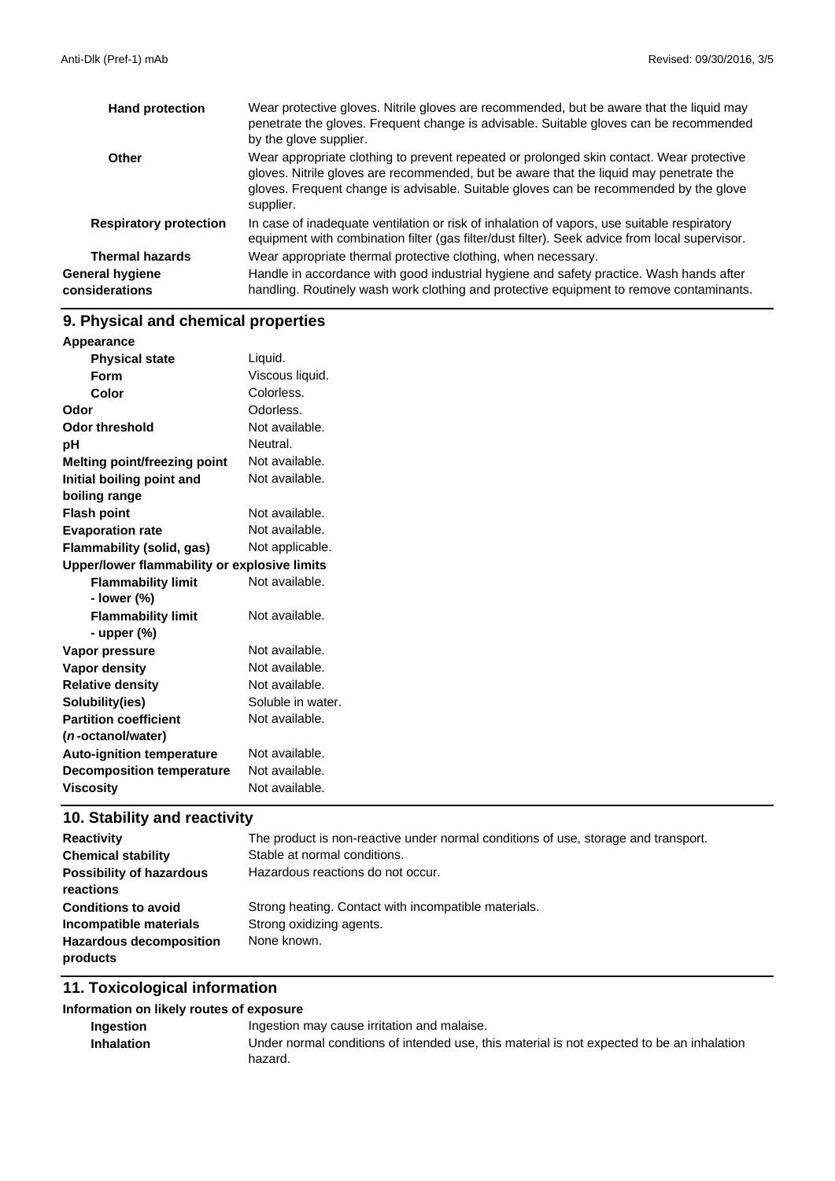| <b>Hand protection</b>            | Wear protective gloves. Nitrile gloves are recommended, but be aware that the liquid may<br>penetrate the gloves. Frequent change is advisable. Suitable gloves can be recommended<br>by the glove supplier.                                                                             |
|-----------------------------------|------------------------------------------------------------------------------------------------------------------------------------------------------------------------------------------------------------------------------------------------------------------------------------------|
| Other                             | Wear appropriate clothing to prevent repeated or prolonged skin contact. Wear protective<br>gloves. Nitrile gloves are recommended, but be aware that the liquid may penetrate the<br>gloves. Frequent change is advisable. Suitable gloves can be recommended by the glove<br>supplier. |
| <b>Respiratory protection</b>     | In case of inadequate ventilation or risk of inhalation of vapors, use suitable respiratory<br>equipment with combination filter (gas filter/dust filter). Seek advice from local supervisor.                                                                                            |
| <b>Thermal hazards</b>            | Wear appropriate thermal protective clothing, when necessary.                                                                                                                                                                                                                            |
| General hygiene<br>considerations | Handle in accordance with good industrial hygiene and safety practice. Wash hands after<br>handling. Routinely wash work clothing and protective equipment to remove contaminants.                                                                                                       |

# **9. Physical and chemical properties**

| Liquid.<br><b>Physical state</b><br>Viscous liquid.<br>Form<br>Colorless.<br>Color<br>Odorless.<br>Not available.<br>Neutral.<br>Not available.<br>Not available.<br>Not available.<br>Not available.<br>Not applicable.<br>Upper/lower flammability or explosive limits<br><b>Flammability limit</b><br>Not available.<br>- lower (%)<br>Not available.<br><b>Flammability limit</b><br>- upper $(\%)$<br>Not available.<br>Not available.<br>Not available.<br>Soluble in water.<br>Not available.<br>Not available.<br>Not available.<br>Not available. | Appearance                       |  |
|------------------------------------------------------------------------------------------------------------------------------------------------------------------------------------------------------------------------------------------------------------------------------------------------------------------------------------------------------------------------------------------------------------------------------------------------------------------------------------------------------------------------------------------------------------|----------------------------------|--|
|                                                                                                                                                                                                                                                                                                                                                                                                                                                                                                                                                            |                                  |  |
|                                                                                                                                                                                                                                                                                                                                                                                                                                                                                                                                                            |                                  |  |
|                                                                                                                                                                                                                                                                                                                                                                                                                                                                                                                                                            |                                  |  |
|                                                                                                                                                                                                                                                                                                                                                                                                                                                                                                                                                            | Odor                             |  |
|                                                                                                                                                                                                                                                                                                                                                                                                                                                                                                                                                            | <b>Odor threshold</b>            |  |
|                                                                                                                                                                                                                                                                                                                                                                                                                                                                                                                                                            | pH                               |  |
|                                                                                                                                                                                                                                                                                                                                                                                                                                                                                                                                                            | Melting point/freezing point     |  |
|                                                                                                                                                                                                                                                                                                                                                                                                                                                                                                                                                            | Initial boiling point and        |  |
|                                                                                                                                                                                                                                                                                                                                                                                                                                                                                                                                                            | boiling range                    |  |
|                                                                                                                                                                                                                                                                                                                                                                                                                                                                                                                                                            | <b>Flash point</b>               |  |
|                                                                                                                                                                                                                                                                                                                                                                                                                                                                                                                                                            | <b>Evaporation rate</b>          |  |
|                                                                                                                                                                                                                                                                                                                                                                                                                                                                                                                                                            | Flammability (solid, gas)        |  |
|                                                                                                                                                                                                                                                                                                                                                                                                                                                                                                                                                            |                                  |  |
|                                                                                                                                                                                                                                                                                                                                                                                                                                                                                                                                                            |                                  |  |
|                                                                                                                                                                                                                                                                                                                                                                                                                                                                                                                                                            |                                  |  |
|                                                                                                                                                                                                                                                                                                                                                                                                                                                                                                                                                            |                                  |  |
|                                                                                                                                                                                                                                                                                                                                                                                                                                                                                                                                                            |                                  |  |
|                                                                                                                                                                                                                                                                                                                                                                                                                                                                                                                                                            | Vapor pressure                   |  |
|                                                                                                                                                                                                                                                                                                                                                                                                                                                                                                                                                            | <b>Vapor density</b>             |  |
|                                                                                                                                                                                                                                                                                                                                                                                                                                                                                                                                                            | <b>Relative density</b>          |  |
|                                                                                                                                                                                                                                                                                                                                                                                                                                                                                                                                                            | Solubility(ies)                  |  |
|                                                                                                                                                                                                                                                                                                                                                                                                                                                                                                                                                            | <b>Partition coefficient</b>     |  |
|                                                                                                                                                                                                                                                                                                                                                                                                                                                                                                                                                            | ( <i>n</i> -octanol/water)       |  |
|                                                                                                                                                                                                                                                                                                                                                                                                                                                                                                                                                            | <b>Auto-ignition temperature</b> |  |
|                                                                                                                                                                                                                                                                                                                                                                                                                                                                                                                                                            | <b>Decomposition temperature</b> |  |
|                                                                                                                                                                                                                                                                                                                                                                                                                                                                                                                                                            | <b>Viscosity</b>                 |  |

# **10. Stability and reactivity**

| <b>Reactivity</b>                            | The product is non-reactive under normal conditions of use, storage and transport. |
|----------------------------------------------|------------------------------------------------------------------------------------|
| <b>Chemical stability</b>                    | Stable at normal conditions.                                                       |
| <b>Possibility of hazardous</b><br>reactions | Hazardous reactions do not occur.                                                  |
| <b>Conditions to avoid</b>                   | Strong heating. Contact with incompatible materials.                               |
| Incompatible materials                       | Strong oxidizing agents.                                                           |
| <b>Hazardous decomposition</b><br>products   | None known.                                                                        |

## **11. Toxicological information**

#### **Information on likely routes of exposure**

| <b>Ingestion</b>  | Ingestion may cause irritation and malaise.                                                |
|-------------------|--------------------------------------------------------------------------------------------|
| <b>Inhalation</b> | Under normal conditions of intended use, this material is not expected to be an inhalation |
|                   | hazard.                                                                                    |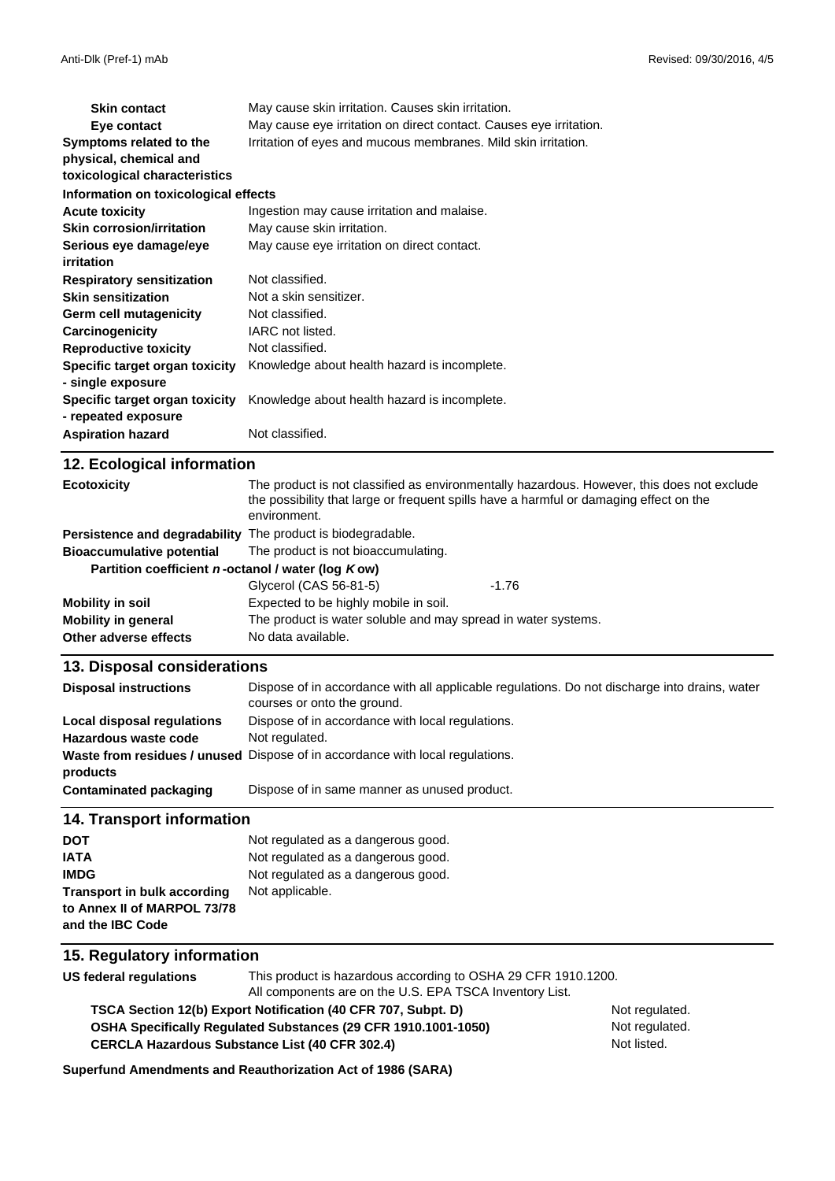| <b>Skin contact</b>                  | May cause skin irritation. Causes skin irritation.                 |
|--------------------------------------|--------------------------------------------------------------------|
| Eye contact                          | May cause eye irritation on direct contact. Causes eye irritation. |
| Symptoms related to the              | Irritation of eyes and mucous membranes. Mild skin irritation.     |
| physical, chemical and               |                                                                    |
| toxicological characteristics        |                                                                    |
| Information on toxicological effects |                                                                    |
| <b>Acute toxicity</b>                | Ingestion may cause irritation and malaise.                        |
| <b>Skin corrosion/irritation</b>     | May cause skin irritation.                                         |
| Serious eye damage/eye               | May cause eye irritation on direct contact.                        |
| <i>irritation</i>                    |                                                                    |
| <b>Respiratory sensitization</b>     | Not classified.                                                    |
| <b>Skin sensitization</b>            | Not a skin sensitizer.                                             |
| Germ cell mutagenicity               | Not classified.                                                    |
| Carcinogenicity                      | IARC not listed.                                                   |
| <b>Reproductive toxicity</b>         | Not classified.                                                    |
| Specific target organ toxicity       | Knowledge about health hazard is incomplete.                       |
| - single exposure                    |                                                                    |
| Specific target organ toxicity       | Knowledge about health hazard is incomplete.                       |
| - repeated exposure                  |                                                                    |
| <b>Aspiration hazard</b>             | Not classified.                                                    |
| 12 Ecological information            |                                                                    |

| $12.$ Loorogioal IIIIoniaaloni                              |                                                                                                                                                                                                      |         |
|-------------------------------------------------------------|------------------------------------------------------------------------------------------------------------------------------------------------------------------------------------------------------|---------|
| <b>Ecotoxicity</b>                                          | The product is not classified as environmentally hazardous. However, this does not exclude<br>the possibility that large or frequent spills have a harmful or damaging effect on the<br>environment. |         |
| Persistence and degradability The product is biodegradable. |                                                                                                                                                                                                      |         |
| <b>Bioaccumulative potential</b>                            | The product is not bioaccumulating.                                                                                                                                                                  |         |
| Partition coefficient n-octanol / water (log Kow)           |                                                                                                                                                                                                      |         |
|                                                             | Glycerol (CAS 56-81-5)                                                                                                                                                                               | $-1.76$ |
| Mobility in soil                                            | Expected to be highly mobile in soil.                                                                                                                                                                |         |
| <b>Mobility in general</b>                                  | The product is water soluble and may spread in water systems.                                                                                                                                        |         |
| Other adverse effects                                       | No data available.                                                                                                                                                                                   |         |

#### **13. Disposal considerations**

| <b>Disposal instructions</b> | Dispose of in accordance with all applicable regulations. Do not discharge into drains, water<br>courses or onto the ground. |
|------------------------------|------------------------------------------------------------------------------------------------------------------------------|
| Local disposal regulations   | Dispose of in accordance with local regulations.                                                                             |
| Hazardous waste code         | Not regulated.                                                                                                               |
|                              | Waste from residues / unused Dispose of in accordance with local regulations.                                                |
| products                     |                                                                                                                              |
| Contaminated packaging       | Dispose of in same manner as unused product.                                                                                 |

#### **14. Transport information**

| <b>DOT</b>                         | Not regulated as a dangerous good. |
|------------------------------------|------------------------------------|
| <b>IATA</b>                        | Not regulated as a dangerous good. |
| <b>IMDG</b>                        | Not regulated as a dangerous good. |
| <b>Transport in bulk according</b> | Not applicable.                    |
| to Annex II of MARPOL 73/78        |                                    |
| and the IBC Code                   |                                    |

#### **15. Regulatory information**

**US federal regulations** This product is hazardous according to OSHA 29 CFR 1910.1200. All components are on the U.S. EPA TSCA Inventory List.

**CERCLA Hazardous Substance List (40 CFR 302.4) OSHA Specifically Regulated Substances (29 CFR 1910.1001-1050) TSCA Section 12(b) Export Notification (40 CFR 707, Subpt. D)** Not regulated.

Not regulated. Not listed.

**Superfund Amendments and Reauthorization Act of 1986 (SARA)**